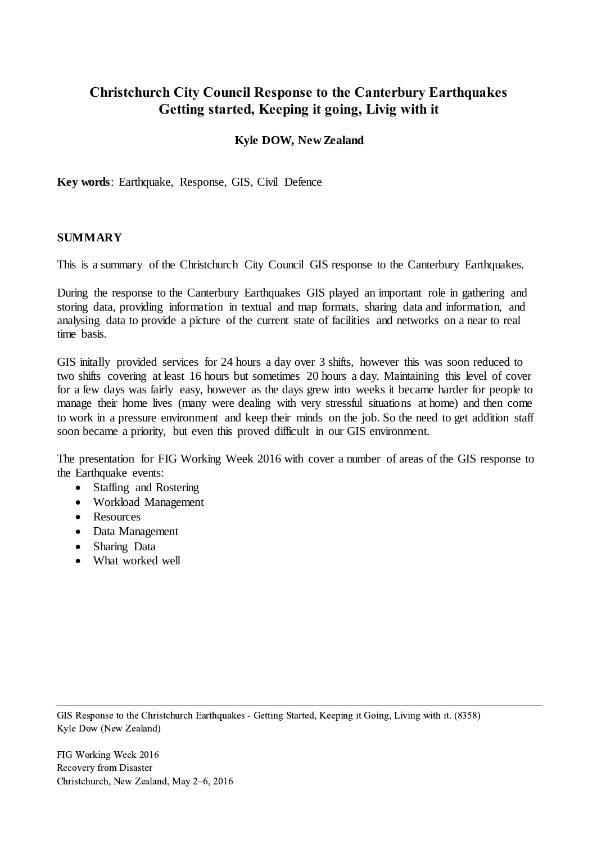# **Christchurch City Council Response to the Canterbury Earthquakes Getting started, Keeping it going, Livig with it**

### **Kyle DOW, New Zealand**

**Key words**: Earthquake, Response, GIS, Civil Defence

#### **SUMMARY**

This is a summary of the Christchurch City Council GIS response to the Canterbury Earthquakes.

During the response to the Canterbury Earthquakes GIS played an important role in gathering and storing data, providing information in textual and map formats, sharing data and information, and analysing data to provide a picture of the current state of facilities and networks on a near to real time basis.

GIS initally provided services for 24 hours a day over 3 shifts, however this was soon reduced to two shifts covering at least 16 hours but sometimes 20 hours a day. Maintaining this level of cover for a few days was fairly easy, however as the days grew into weeks it became harder for people to manage their home lives (many were dealing with very stressful situations at home) and then come to work in a pressure environment and keep their minds on the job. So the need to get addition staff soon became a priority, but even this proved difficult in our GIS environment.

The presentation for FIG Working Week 2016 with cover a number of areas of the GIS response to the Earthquake events:

- Staffing and Rostering
- Workload Management
- Resources
- Data Management
- Sharing Data
- What worked well

GIS Response to the Christchurch Earthquakes - Getting Started, Keeping it Going, Living with it. (8358) Kyle Dow (New Zealand)

FIG Working Week 2016 Recovery from Disaster Christchurch, New Zealand, May 2–6, 2016